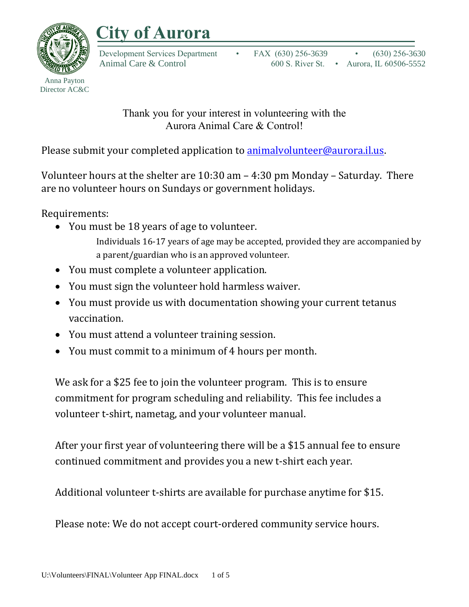



Anna Payton Director AC&C

> Thank you for your interest in volunteering with the Aurora Animal Care & Control!

Please submit your completed application to **animalvolunteer@aurora.il.us.** 

Volunteer hours at the shelter are 10:30 am – 4:30 pm Monday – Saturday. There are no volunteer hours on Sundays or government holidays.

Requirements:

• You must be 18 years of age to volunteer.

Individuals 16-17 years of age may be accepted, provided they are accompanied by a parent/guardian who is an approved volunteer.

- You must complete a volunteer application.
- You must sign the volunteer hold harmless waiver.
- You must provide us with documentation showing your current tetanus vaccination.
- You must attend a volunteer training session.
- You must commit to a minimum of 4 hours per month.

We ask for a \$25 fee to join the volunteer program. This is to ensure commitment for program scheduling and reliability. This fee includes a volunteer t-shirt, nametag, and your volunteer manual.

After your first year of volunteering there will be a \$15 annual fee to ensure continued commitment and provides you a new t-shirt each year.

Additional volunteer t-shirts are available for purchase anytime for \$15.

Please note: We do not accept court-ordered community service hours.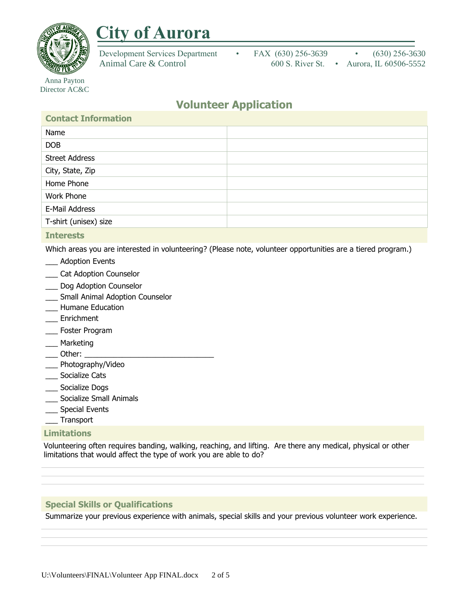

## **City of Aurora**

Development Services Department • FAX (630) 256-3639 • (630) 256-3630 Animal Care & Control 600 S. River St. • Aurora, IL 60506-5552

Anna Payton Director AC&C

### **Volunteer Application**

| <b>Contact Information</b> |  |
|----------------------------|--|
| Name                       |  |
| <b>DOB</b>                 |  |
| <b>Street Address</b>      |  |
| City, State, Zip           |  |
| Home Phone                 |  |
| Work Phone                 |  |
| E-Mail Address             |  |
| T-shirt (unisex) size      |  |
| _______                    |  |

#### **Interests**

Which areas you are interested in volunteering? (Please note, volunteer opportunities are a tiered program.)

- \_\_\_ Adoption Events
- \_\_\_ Cat Adoption Counselor
- \_\_\_ Dog Adoption Counselor
- \_\_\_ Small Animal Adoption Counselor
- \_\_\_ Humane Education
- \_\_\_ Enrichment
- \_\_\_ Foster Program
- \_\_\_ Marketing
- $\Box$  Other:  $\Box$
- \_\_\_ Photography/Video
- \_\_\_ Socialize Cats
- \_\_\_ Socialize Dogs
- \_\_\_ Socialize Small Animals
- \_\_\_ Special Events
- \_\_\_ Transport

#### **Limitations**

Volunteering often requires banding, walking, reaching, and lifting. Are there any medical, physical or other limitations that would affect the type of work you are able to do?

#### **Special Skills or Qualifications**

Summarize your previous experience with animals, special skills and your previous volunteer work experience.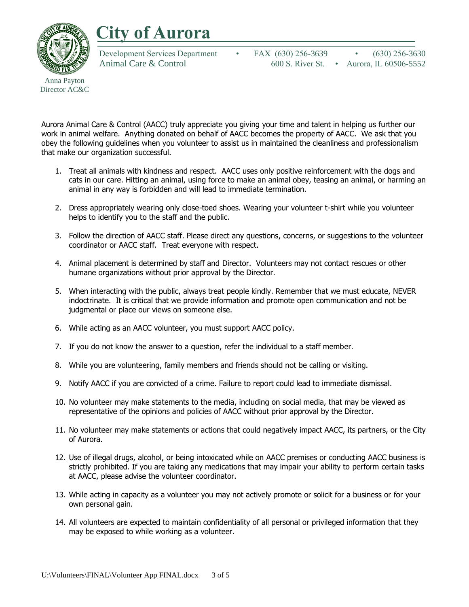# **City of Aurora**



Director AC&C

Development Services Department • FAX (630) 256-3639 • (630) 256-3630 Animal Care & Control 600 S. River St. • Aurora, IL 60506-5552

Aurora Animal Care & Control (AACC) truly appreciate you giving your time and talent in helping us further our work in animal welfare. Anything donated on behalf of AACC becomes the property of AACC. We ask that you obey the following guidelines when you volunteer to assist us in maintained the cleanliness and professionalism that make our organization successful.

- 1. Treat all animals with kindness and respect. AACC uses only positive reinforcement with the dogs and cats in our care. Hitting an animal, using force to make an animal obey, teasing an animal, or harming an animal in any way is forbidden and will lead to immediate termination.
- 2. Dress appropriately wearing only close-toed shoes. Wearing your volunteer t-shirt while you volunteer helps to identify you to the staff and the public.
- 3. Follow the direction of AACC staff. Please direct any questions, concerns, or suggestions to the volunteer coordinator or AACC staff. Treat everyone with respect.
- 4. Animal placement is determined by staff and Director. Volunteers may not contact rescues or other humane organizations without prior approval by the Director.
- 5. When interacting with the public, always treat people kindly. Remember that we must educate, NEVER indoctrinate. It is critical that we provide information and promote open communication and not be judgmental or place our views on someone else.
- 6. While acting as an AACC volunteer, you must support AACC policy.
- 7. If you do not know the answer to a question, refer the individual to a staff member.
- 8. While you are volunteering, family members and friends should not be calling or visiting.
- 9. Notify AACC if you are convicted of a crime. Failure to report could lead to immediate dismissal.
- 10. No volunteer may make statements to the media, including on social media, that may be viewed as representative of the opinions and policies of AACC without prior approval by the Director.
- 11. No volunteer may make statements or actions that could negatively impact AACC, its partners, or the City of Aurora.
- 12. Use of illegal drugs, alcohol, or being intoxicated while on AACC premises or conducting AACC business is strictly prohibited. If you are taking any medications that may impair your ability to perform certain tasks at AACC, please advise the volunteer coordinator.
- 13. While acting in capacity as a volunteer you may not actively promote or solicit for a business or for your own personal gain.
- 14. All volunteers are expected to maintain confidentiality of all personal or privileged information that they may be exposed to while working as a volunteer.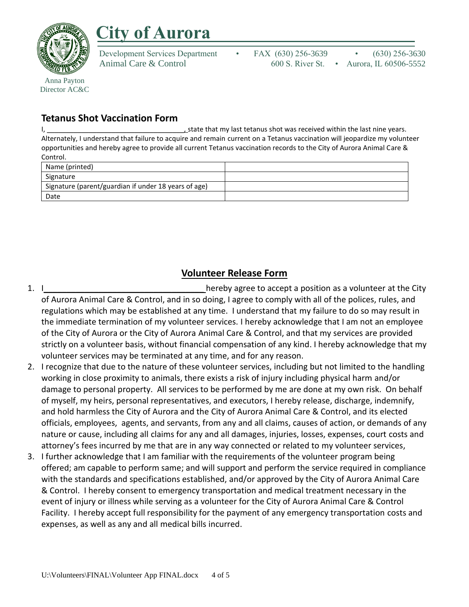

Director AC&C

## **City of Aurora**

Development Services Department • FAX (630) 256-3639 • (630) 256-3630 Animal Care & Control 600 S. River St. • Aurora, IL 60506-5552

### **Tetanus Shot Vaccination Form**

I, \_\_\_\_\_\_\_\_\_\_\_\_\_\_\_\_\_\_\_\_\_\_\_\_\_\_\_\_\_\_\_\_\_\_\_\_, state that my last tetanus shot was received within the last nine years. Alternately, I understand that failure to acquire and remain current on a Tetanus vaccination will jeopardize my volunteer opportunities and hereby agree to provide all current Tetanus vaccination records to the City of Aurora Animal Care & Control.

| Name (printed)                                       |  |
|------------------------------------------------------|--|
| Signature                                            |  |
| Signature (parent/guardian if under 18 years of age) |  |
| Date                                                 |  |

### **Volunteer Release Form**

- 1. I can under the community of the set of the City hereby agree to accept a position as a volunteer at the City of Aurora Animal Care & Control, and in so doing, I agree to comply with all of the polices, rules, and regulations which may be established at any time. I understand that my failure to do so may result in the immediate termination of my volunteer services. I hereby acknowledge that I am not an employee of the City of Aurora or the City of Aurora Animal Care & Control, and that my services are provided strictly on a volunteer basis, without financial compensation of any kind. I hereby acknowledge that my volunteer services may be terminated at any time, and for any reason.
- 2. I recognize that due to the nature of these volunteer services, including but not limited to the handling working in close proximity to animals, there exists a risk of injury including physical harm and/or damage to personal property. All services to be performed by me are done at my own risk. On behalf of myself, my heirs, personal representatives, and executors, I hereby release, discharge, indemnify, and hold harmless the City of Aurora and the City of Aurora Animal Care & Control, and its elected officials, employees, agents, and servants, from any and all claims, causes of action, or demands of any nature or cause, including all claims for any and all damages, injuries, losses, expenses, court costs and attorney's fees incurred by me that are in any way connected or related to my volunteer services,
- 3. I further acknowledge that I am familiar with the requirements of the volunteer program being offered; am capable to perform same; and will support and perform the service required in compliance with the standards and specifications established, and/or approved by the City of Aurora Animal Care & Control. I hereby consent to emergency transportation and medical treatment necessary in the event of injury or illness while serving as a volunteer for the City of Aurora Animal Care & Control Facility. I hereby accept full responsibility for the payment of any emergency transportation costs and expenses, as well as any and all medical bills incurred.